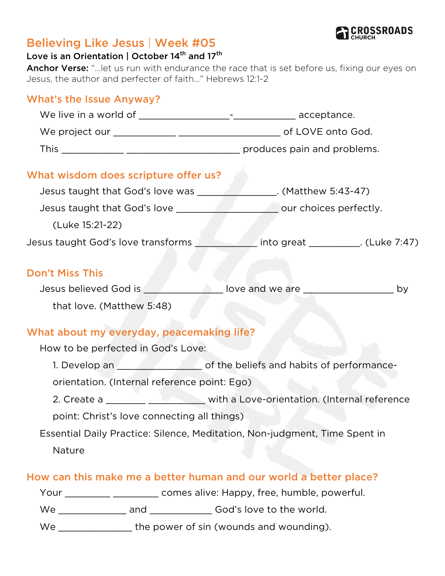

## Believing Like Jesus | Week #05

#### Love is an Orientation | October 14<sup>th</sup> and 17<sup>th</sup>

Anchor Verse: "...let us run with endurance the race that is set before us, fixing our eyes on Jesus, the author and perfecter of faith..." Hebrews 12:1-2

# What's the Issue Anyway?

| What wisdom does scripture offer us?                                                |                                                                            |                                  |  |
|-------------------------------------------------------------------------------------|----------------------------------------------------------------------------|----------------------------------|--|
| Jesus taught that God's love was __________________. (Matthew 5:43-47)              |                                                                            |                                  |  |
|                                                                                     |                                                                            | _________ our choices perfectly. |  |
| (Luke 15:21-22)                                                                     |                                                                            |                                  |  |
| Jesus taught God's love transforms _____________into great ___________. (Luke 7:47) |                                                                            |                                  |  |
| <b>Don't Miss This</b>                                                              |                                                                            |                                  |  |
| Jesus believed God is ___________________ love and we are ______________________ by |                                                                            |                                  |  |
| that love. (Matthew 5:48)                                                           |                                                                            |                                  |  |
| What about my everyday, peacemaking life?                                           |                                                                            |                                  |  |
| How to be perfected in God's Love:                                                  |                                                                            |                                  |  |
| 1. Develop an 1. The beliefs and habits of performance-                             |                                                                            |                                  |  |
| orientation. (Internal reference point: Ego)                                        |                                                                            |                                  |  |
| 2. Create a _______ _____________ with a Love-orientation. (Internal reference      |                                                                            |                                  |  |
| point: Christ's love connecting all things)                                         |                                                                            |                                  |  |
| Essential Daily Practice: Silence, Meditation, Non-judgment, Time Spent in          |                                                                            |                                  |  |
| Nature                                                                              |                                                                            |                                  |  |
| How can this make me a better human and our world a better place?                   |                                                                            |                                  |  |
|                                                                                     | Your _________________________ comes alive: Happy, free, humble, powerful. |                                  |  |
|                                                                                     |                                                                            |                                  |  |

We \_\_\_\_\_\_\_\_\_\_\_\_\_\_\_\_ the power of sin (wounds and wounding).